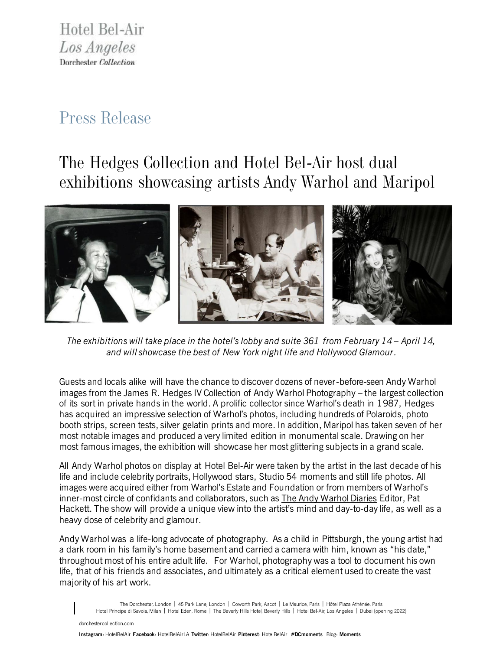Hotel Bel-Air Los Angeles Dorchester Collection

## *Press Release*

# *The Hedges Collection and Hotel Bel-Air host dual exhibitions showcasing artists Andy Warhol and Maripol*



*The exhibitions will take place in the hotel's lobby and suite 361 from February 14 – April 14, and will showcase the best of New York night life and Hollywood Glamour.*

Guests and locals alike will have the chance to discover dozens of never-before-seen Andy Warhol images from the James R. Hedges IV Collection of Andy Warhol Photography – the largest collection of its sort in private hands in the world. A prolific collector since Warhol's death in 1987, Hedges has acquired an impressive selection of Warhol's photos, including hundreds of Polaroids, photo booth strips, screen tests, silver gelatin prints and more. In addition, Maripol has taken seven of her most notable images and produced a very limited edition in monumental scale. Drawing on her most famous images, the exhibition will showcase her most glittering subjects in a grand scale.

All Andy Warhol photos on display at Hotel Bel-Air were taken by the artist in the last decade of his life and include celebrity portraits, Hollywood stars, Studio 54 moments and still life photos. All images were acquired either from Warhol's Estate and Foundation or from members of Warhol's inner-most circle of confidants and collaborators, such as **The Andy Warhol Diaries** Editor, Pat Hackett. The show will provide a unique view into the artist's mind and day-to-day life, as well as a heavy dose of celebrity and glamour.

Andy Warhol was a life-long advocate of photography. As a child in Pittsburgh, the young artist had a dark room in his family's home basement and carried a camera with him, known as "his date," throughout most of his entire adult life. For Warhol, photography was a tool to document his own life, that of his friends and associates, and ultimately as a critical element used to create the vast majority of his art work.

The Dorchester, London | 45 Park Lane, London | Coworth Park, Ascot | Le Meurice, Paris | Hôtel Plaza Athénée, Paris Hotel Principe di Savoia, Milan | Hotel Eden, Rome | The Beverly Hills Hotel, Beverly Hills | Hotel Bel-Air, Los Angeles | Dubai (opening 2022)

[dorchestercollection.com](https://www.facebook.com/HotelBelAirLA)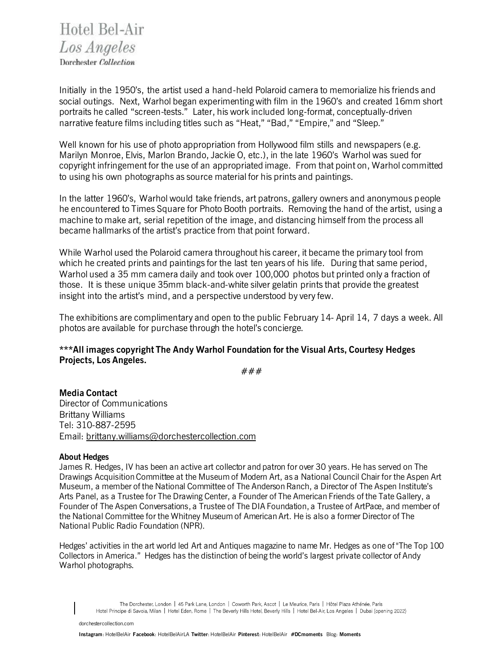Hotel Bel-Air Los Angeles Dorchester Collection

Initially in the 1950's, the artist used a hand-held Polaroid camera to memorialize his friends and social outings. Next, Warhol began experimenting with film in the 1960's and created 16mm short portraits he called "screen-tests." Later, his work included long-format, conceptually-driven narrative feature films including titles such as "Heat," "Bad," "Empire," and "Sleep."

Well known for his use of photo appropriation from Hollywood film stills and newspapers (e.g. Marilyn Monroe, Elvis, Marlon Brando, Jackie O, etc.), in the late 1960's Warhol was sued for copyright infringement for the use of an appropriated image. From that point on, Warhol committed to using his own photographs as source material for his prints and paintings.

In the latter 1960's, Warhol would take friends, art patrons, gallery owners and anonymous people he encountered to Times Square for Photo Booth portraits. Removing the hand of the artist, using a machine to make art, serial repetition of the image, and distancing himself from the process all became hallmarks of the artist's practice from that point forward.

While Warhol used the Polaroid camera throughout his career, it became the primary tool from which he created prints and paintings for the last ten years of his life. During that same period, Warhol used a 35 mm camera daily and took over 100,000 photos but printed only a fraction of those. It is these unique 35mm black-and-white silver gelatin prints that provide the greatest insight into the artist's mind, and a perspective understood by very few.

The exhibitions are complimentary and open to the public February 14- April 14, 7 days a week. All photos are available for purchase through the hotel's concierge.

## **\*\*\*All images copyright The Andy Warhol Foundation for the Visual Arts, Courtesy Hedges Projects, Los Angeles.**

###

**Media Contact** Director of Communications Brittany Williams Tel: 310-887-2595 Email: [brittany.williams@dorchestercollection.com](mailto:brittany.williams@dorchestercollection.com)

### **About Hedges**

James R. Hedges, IV has been an active art collector and patron for over 30 years. He has served on The Drawings Acquisition Committee at the Museum of Modern Art, as a National Council Chair for the Aspen Art Museum, a member of the National Committee of The Anderson Ranch, a Director of The Aspen Institute's Arts Panel, as a Trustee for The Drawing Center, a Founder of The American Friends of the Tate Gallery, a Founder of The Aspen Conversations, a Trustee of The DIA Foundation, a Trustee of ArtPace, and member of the National Committee for the Whitney Museum of American Art. He is also a former Director of The National Public Radio Foundation (NPR).

Hedges' activities in the art world led Art and Antiques magazine to name Mr. Hedges as one of "The Top 100 Collectors in America." Hedges has the distinction of being the world's largest private collector of Andy Warhol photographs.

The Dorchester, London | 45 Park Lane, London | Coworth Park, Ascot | Le Meurice, Paris | Hôtel Plaza Athénée, Paris Hotel Principe di Savoia, Milan | Hotel Eden, Rome | The Beverly Hills Hotel, Beverly Hills | Hotel Bel-Air, Los Angeles | Dubai (opening 2022)

[dorchestercollection.com](https://www.facebook.com/HotelBelAirLA)